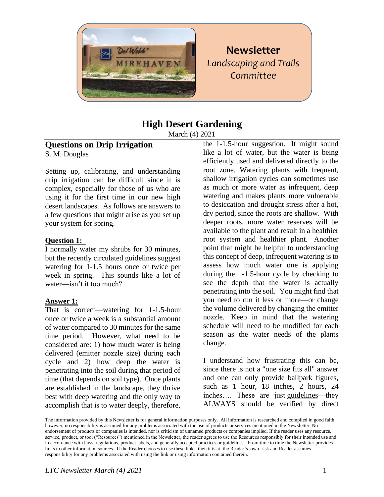

# **Newsletter** *Landscaping and Trails Committee*

# **High Desert Gardening**

March (4) 2021

# **Questions on Drip Irrigation**

S. M. Douglas

Setting up, calibrating, and understanding drip irrigation can be difficult since it is complex, especially for those of us who are using it for the first time in our new high desert landscapes. As follows are answers to a few questions that might arise as you set up your system for spring.

#### **Question 1:**

I normally water my shrubs for 30 minutes, but the recently circulated guidelines suggest watering for 1-1.5 hours once or twice per week in spring. This sounds like a lot of water—isn't it too much?

## **Answer 1:**

That is correct—watering for 1-1.5-hour once or twice a week is a substantial amount of water compared to 30 minutes for the same time period. However, what need to be considered are: 1) how much water is being delivered (emitter nozzle size) during each cycle and 2) how deep the water is penetrating into the soil during that period of time (that depends on soil type). Once plants are established in the landscape, they thrive best with deep watering and the only way to accomplish that is to water deeply, therefore,

the 1-1.5-hour suggestion. It might sound like a lot of water, but the water is being efficiently used and delivered directly to the root zone. Watering plants with frequent, shallow irrigation cycles can sometimes use as much or more water as infrequent, deep watering and makes plants more vulnerable to desiccation and drought stress after a hot, dry period, since the roots are shallow. With deeper roots, more water reserves will be available to the plant and result in a healthier root system and healthier plant. Another point that might be helpful to understanding this concept of deep, infrequent watering is to assess how much water one is applying during the 1-1.5-hour cycle by checking to see the depth that the water is actually penetrating into the soil. You might find that you need to run it less or more—or change the volume delivered by changing the emitter nozzle. Keep in mind that the watering schedule will need to be modified for each season as the water needs of the plants change.

I understand how frustrating this can be, since there is not a "one size fits all" answer and one can only provide ballpark figures, such as 1 hour, 18 inches, 2 hours, 24 inches…. These are just guidelines—they ALWAYS should be verified by direct

The information provided by this Newsletter is for general information purposes only. All information is researched and compiled in good faith; however, no responsibility is assumed for any problems associated with the use of products or services mentioned in the Newsletter. No endorsement of products or companies is intended, nor is criticism of unnamed products or companies implied. If the reader uses any resource, service, product, or tool ("Resources") mentioned in the Newsletter, the reader agrees to use the Resources responsibly for their intended use and in accordance with laws, regulations, product labels, and generally accepted practices or guidelines. From time to time the Newsletter provides links to other information sources. If the Reader chooses to use these links, then it is at the Reader's own risk and Reader assumes responsibility for any problems associated with using the link or using information contained therein.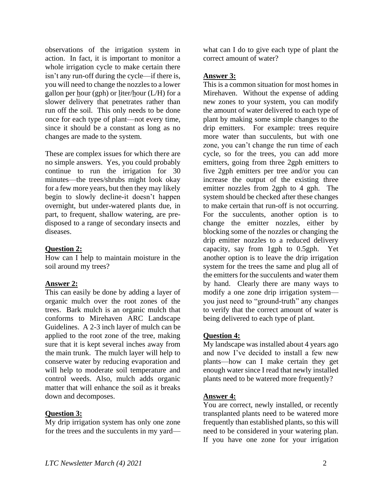observations of the irrigation system in action. In fact, it is important to monitor a whole irrigation cycle to make certain there isn't any run-off during the cycle—if there is, you will need to change the nozzles to a lower gallon per hour (gph) or liter/hour  $(L/H)$  for a slower delivery that penetrates rather than run off the soil. This only needs to be done once for each type of plant—not every time, since it should be a constant as long as no changes are made to the system.

These are complex issues for which there are no simple answers. Yes, you could probably continue to run the irrigation for 30 minutes—the trees/shrubs might look okay for a few more years, but then they may likely begin to slowly decline-it doesn't happen overnight, but under-watered plants due, in part, to frequent, shallow watering, are predisposed to a range of secondary insects and diseases.

#### **Question 2:**

How can I help to maintain moisture in the soil around my trees?

#### **Answer 2:**

This can easily be done by adding a layer of organic mulch over the root zones of the trees. Bark mulch is an organic mulch that conforms to Mirehaven ARC Landscape Guidelines. A 2-3 inch layer of mulch can be applied to the root zone of the tree, making sure that it is kept several inches away from the main trunk. The mulch layer will help to conserve water by reducing evaporation and will help to moderate soil temperature and control weeds. Also, mulch adds organic matter that will enhance the soil as it breaks down and decomposes.

#### **Question 3:**

 $\overline{Mv}$  drip irrigation system has only one zone for the trees and the succulents in my yardwhat can I do to give each type of plant the correct amount of water?

#### **Answer 3:**

This is a common situation for most homes in Mirehaven. Without the expense of adding new zones to your system, you can modify the amount of water delivered to each type of plant by making some simple changes to the drip emitters. For example: trees require more water than succulents, but with one zone, you can't change the run time of each cycle, so for the trees, you can add more emitters, going from three 2gph emitters to five 2gph emitters per tree and/or you can increase the output of the existing three emitter nozzles from 2gph to 4 gph. The system should be checked after these changes to make certain that run-off is not occurring. For the succulents, another option is to change the emitter nozzles, either by blocking some of the nozzles or changing the drip emitter nozzles to a reduced delivery capacity, say from 1gph to 0.5gph. Yet another option is to leave the drip irrigation system for the trees the same and plug all of the emitters for the succulents and water them by hand. Clearly there are many ways to modify a one zone drip irrigation system you just need to "ground-truth" any changes to verify that the correct amount of water is being delivered to each type of plant.

## **Question 4:**

My landscape was installed about 4 years ago and now I've decided to install a few new plants—how can I make certain they get enough water since I read that newly installed plants need to be watered more frequently?

## **Answer 4:**

You are correct, newly installed, or recently transplanted plants need to be watered more frequently than established plants, so this will need to be considered in your watering plan. If you have one zone for your irrigation